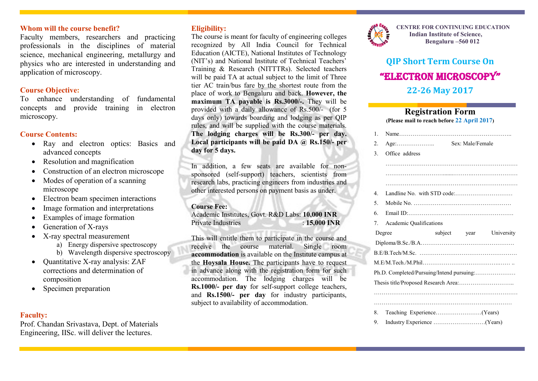# **Whom will the course benefit?**

Faculty members, researchers and practicing professionals in the disciplines of material science, mechanical engineering, metallurgy and physics who are interested in understanding and application of microscopy.

### **Course Objective:**

To enhance understanding of fundamental concepts and provide training in electron microscopy.

### **Course Contents:**

- Ray and electron optics: Basics and advanced concepts
- Resolution and magnification
- Construction of an electron microscope
- Modes of operation of a scanning microscope
- Electron beam specimen interactions
- Image formation and interpretations
- Examples of image formation
- Generation of X-rays
- X-ray spectral measurement
	- a) Energy dispersive spectroscopy
	- b) Wavelength dispersive spectroscopy
- $\bullet$  Ouantitative X-ray analysis: ZAF corrections and determination of composition
- Specimen preparation

# **Faculty:**

Prof. Chandan Srivastava, Dept. of Materials Engineering, IISc. will deliver the lectures.

# **Eligibility:**

The course is meant for faculty of engineering colleges recognized by All India Council for Technical Education (AICTE), National Institutes of Technology (NIT's) and National Institute of Technical Teachers' Training & Research (NITTTRs). Selected teachers will be paid TA at actual subject to the limit of Three tier AC train/bus fare by the shortest route from the place of work to Bengaluru and back. **However, the maximum TA payable is Rs.3000/-.** They will be provided with a daily allowance of Rs.500/- (for 5 days only) towards boarding and lodging as per QIP rules, and will be supplied with the course materials. **The lodging charges will be Rs.300/- per day. Local participants will be paid DA @ Rs.150/- per day for 5 days.**

In addition, a few seats are available for nonsponsored (self-support) teachers, scientists from research labs, practicing engineers from industries and other interested persons on payment basis as under.

### **Course Fee:**

Academic Institutes, Govt. R&D Labs: **10,000 INR** Private Industries : **15,000 INR**

This will entitle them to participate in the course and receive the course material. Single room **accommodation** is available on the Institute campus at the **Hoysala House.** The participants have to request in advance along with the registration form for such accommodation. The lodging charges will be **Rs.1000/- per day** for self-support college teachers, and **Rs.1500/- per day** for industry participants, subject to availability of accommodation.



**CENTRE FOR CONTINUING EDUCATION Indian Institute of Science, Bengaluru –560 012**

# **QIP Short Term Course On** "ElEctron Microscopy" **22-26 May 2017**

# **Registration Form**

**(Please mail to reach before 22 April 2017)**

|  | $\mathbf{1}$ .                               |                                           |         |      |            |  |
|--|----------------------------------------------|-------------------------------------------|---------|------|------------|--|
|  | 2.                                           |                                           |         |      |            |  |
|  | 3.                                           | Office address                            |         |      |            |  |
|  |                                              |                                           |         |      |            |  |
|  |                                              |                                           |         |      |            |  |
|  |                                              |                                           |         |      |            |  |
|  | 4                                            |                                           |         |      |            |  |
|  | 5.                                           |                                           |         |      |            |  |
|  | 6.                                           |                                           |         |      |            |  |
|  | $7_{\scriptscriptstyle{\ddot{\phantom{1}}}}$ | <b>Academic Qualifications</b>            |         |      |            |  |
|  |                                              |                                           |         |      |            |  |
|  |                                              | Degree                                    | subject | year | University |  |
|  |                                              |                                           |         |      |            |  |
|  |                                              |                                           |         |      |            |  |
|  |                                              |                                           |         |      |            |  |
|  |                                              | Ph.D. Completed/Pursuing/Intend pursuing: |         |      |            |  |
|  |                                              |                                           |         |      |            |  |
|  |                                              |                                           |         |      |            |  |
|  |                                              |                                           |         |      |            |  |
|  | 8.                                           |                                           |         |      |            |  |